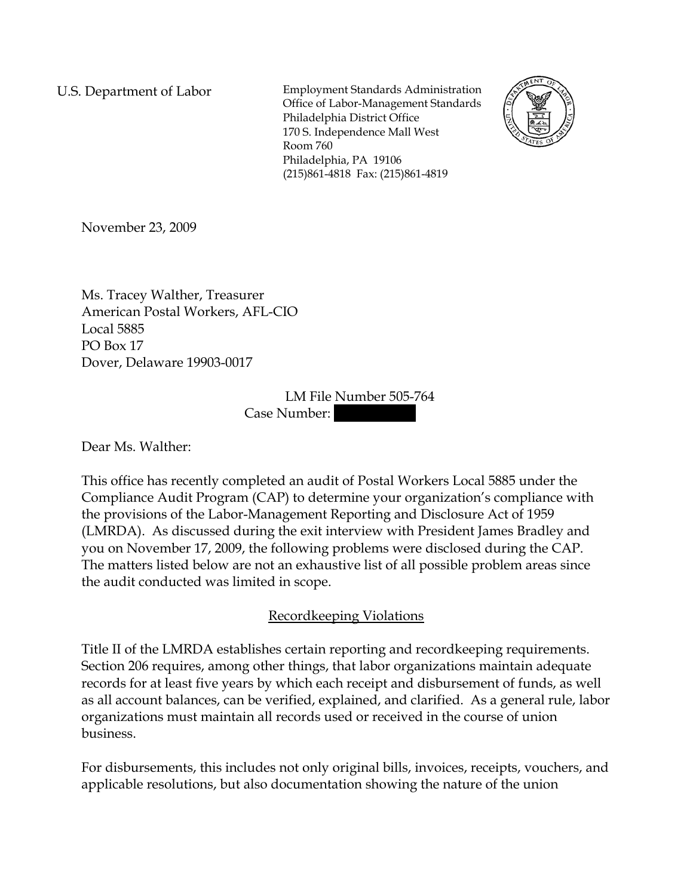U.S. Department of Labor Employment Standards Administration Office of Labor-Management Standards Philadelphia District Office 170 S. Independence Mall West Room 760 Philadelphia, PA 19106 (215)861-4818 Fax: (215)861-4819



November 23, 2009

Ms. Tracey Walther, Treasurer American Postal Workers, AFL-CIO Local 5885 PO Box 17 Dover, Delaware 19903-0017

> LM File Number 505-764 Case Number:

Dear Ms. Walther:

This office has recently completed an audit of Postal Workers Local 5885 under the Compliance Audit Program (CAP) to determine your organization's compliance with the provisions of the Labor-Management Reporting and Disclosure Act of 1959 (LMRDA). As discussed during the exit interview with President James Bradley and you on November 17, 2009, the following problems were disclosed during the CAP. The matters listed below are not an exhaustive list of all possible problem areas since the audit conducted was limited in scope.

# Recordkeeping Violations

Title II of the LMRDA establishes certain reporting and recordkeeping requirements. Section 206 requires, among other things, that labor organizations maintain adequate records for at least five years by which each receipt and disbursement of funds, as well as all account balances, can be verified, explained, and clarified. As a general rule, labor organizations must maintain all records used or received in the course of union business.

For disbursements, this includes not only original bills, invoices, receipts, vouchers, and applicable resolutions, but also documentation showing the nature of the union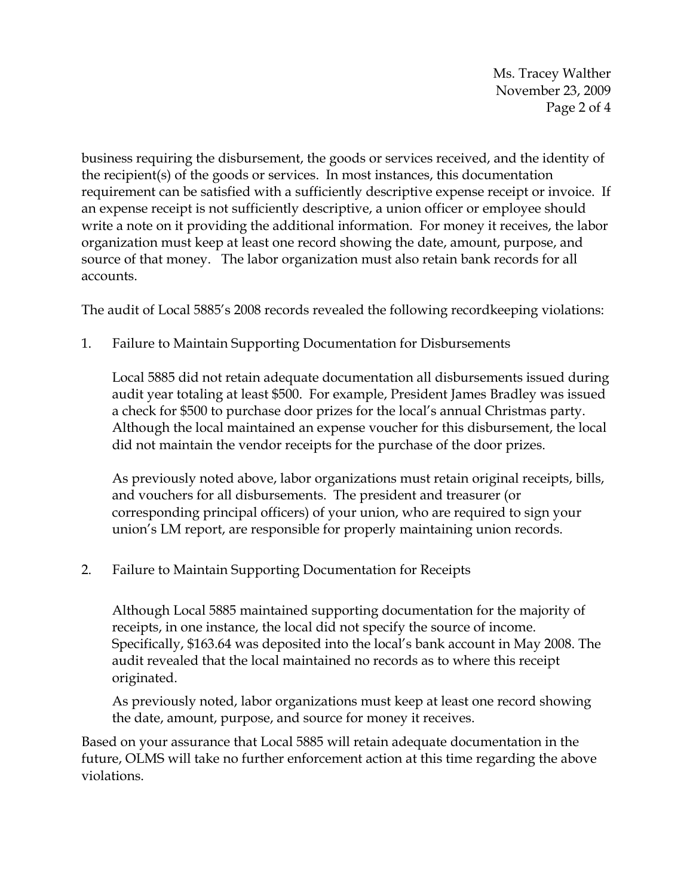Ms. Tracey Walther November 23, 2009 Page 2 of 4

business requiring the disbursement, the goods or services received, and the identity of the recipient(s) of the goods or services. In most instances, this documentation requirement can be satisfied with a sufficiently descriptive expense receipt or invoice. If an expense receipt is not sufficiently descriptive, a union officer or employee should write a note on it providing the additional information. For money it receives, the labor organization must keep at least one record showing the date, amount, purpose, and source of that money. The labor organization must also retain bank records for all accounts.

The audit of Local 5885's 2008 records revealed the following recordkeeping violations:

1. Failure to Maintain Supporting Documentation for Disbursements

Local 5885 did not retain adequate documentation all disbursements issued during audit year totaling at least \$500. For example, President James Bradley was issued a check for \$500 to purchase door prizes for the local's annual Christmas party. Although the local maintained an expense voucher for this disbursement, the local did not maintain the vendor receipts for the purchase of the door prizes.

As previously noted above, labor organizations must retain original receipts, bills, and vouchers for all disbursements. The president and treasurer (or corresponding principal officers) of your union, who are required to sign your union's LM report, are responsible for properly maintaining union records.

2. Failure to Maintain Supporting Documentation for Receipts

Although Local 5885 maintained supporting documentation for the majority of receipts, in one instance, the local did not specify the source of income. Specifically, \$163.64 was deposited into the local's bank account in May 2008. The audit revealed that the local maintained no records as to where this receipt originated.

As previously noted, labor organizations must keep at least one record showing the date, amount, purpose, and source for money it receives.

Based on your assurance that Local 5885 will retain adequate documentation in the future, OLMS will take no further enforcement action at this time regarding the above violations.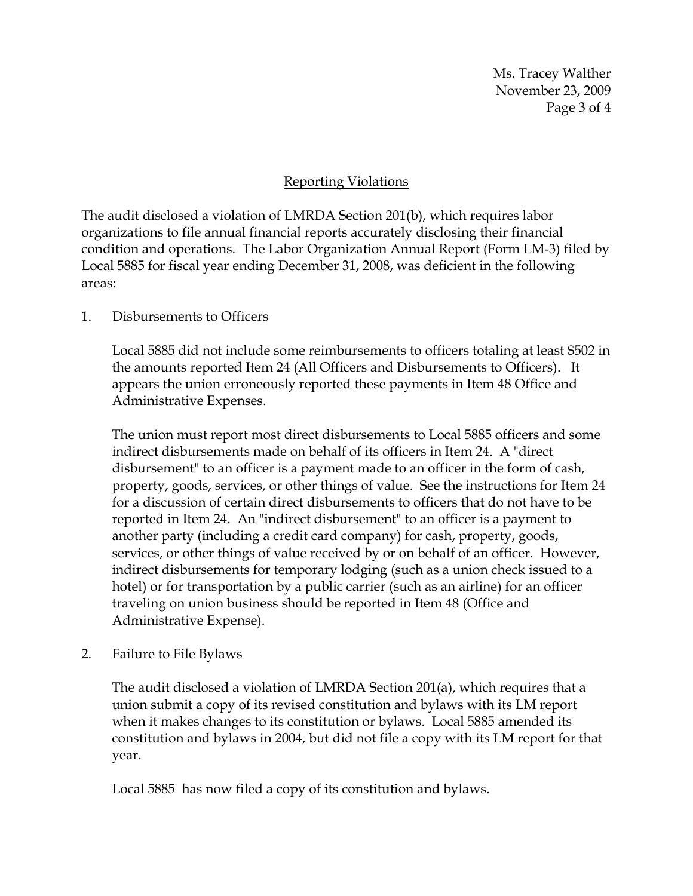Ms. Tracey Walther November 23, 2009 Page 3 of 4

## Reporting Violations

The audit disclosed a violation of LMRDA Section 201(b), which requires labor organizations to file annual financial reports accurately disclosing their financial condition and operations. The Labor Organization Annual Report (Form LM-3) filed by Local 5885 for fiscal year ending December 31, 2008, was deficient in the following areas:

### 1. Disbursements to Officers

Local 5885 did not include some reimbursements to officers totaling at least \$502 in the amounts reported Item 24 (All Officers and Disbursements to Officers). It appears the union erroneously reported these payments in Item 48 Office and Administrative Expenses.

The union must report most direct disbursements to Local 5885 officers and some indirect disbursements made on behalf of its officers in Item 24. A "direct disbursement" to an officer is a payment made to an officer in the form of cash, property, goods, services, or other things of value. See the instructions for Item 24 for a discussion of certain direct disbursements to officers that do not have to be reported in Item 24. An "indirect disbursement" to an officer is a payment to another party (including a credit card company) for cash, property, goods, services, or other things of value received by or on behalf of an officer. However, indirect disbursements for temporary lodging (such as a union check issued to a hotel) or for transportation by a public carrier (such as an airline) for an officer traveling on union business should be reported in Item 48 (Office and Administrative Expense).

### 2. Failure to File Bylaws

The audit disclosed a violation of LMRDA Section 201(a), which requires that a union submit a copy of its revised constitution and bylaws with its LM report when it makes changes to its constitution or bylaws. Local 5885 amended its constitution and bylaws in 2004, but did not file a copy with its LM report for that year.

Local 5885 has now filed a copy of its constitution and bylaws.